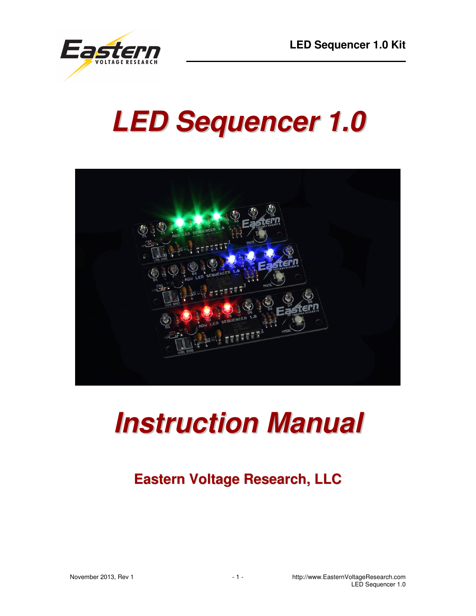

# **LED Sequencer 1.0**



## **Instruction Manual**

### **Eastern Voltage Research, LLC**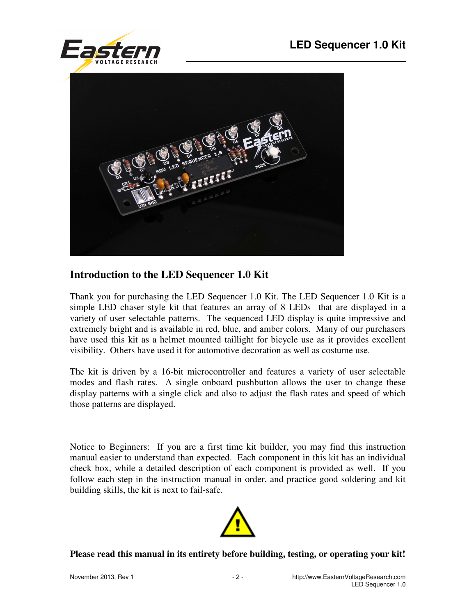



#### **Introduction to the LED Sequencer 1.0 Kit**

Thank you for purchasing the LED Sequencer 1.0 Kit. The LED Sequencer 1.0 Kit is a simple LED chaser style kit that features an array of 8 LEDs that are displayed in a variety of user selectable patterns. The sequenced LED display is quite impressive and extremely bright and is available in red, blue, and amber colors. Many of our purchasers have used this kit as a helmet mounted taillight for bicycle use as it provides excellent visibility. Others have used it for automotive decoration as well as costume use.

The kit is driven by a 16-bit microcontroller and features a variety of user selectable modes and flash rates. A single onboard pushbutton allows the user to change these display patterns with a single click and also to adjust the flash rates and speed of which those patterns are displayed.

Notice to Beginners: If you are a first time kit builder, you may find this instruction manual easier to understand than expected. Each component in this kit has an individual check box, while a detailed description of each component is provided as well. If you follow each step in the instruction manual in order, and practice good soldering and kit building skills, the kit is next to fail-safe.



#### **Please read this manual in its entirety before building, testing, or operating your kit!**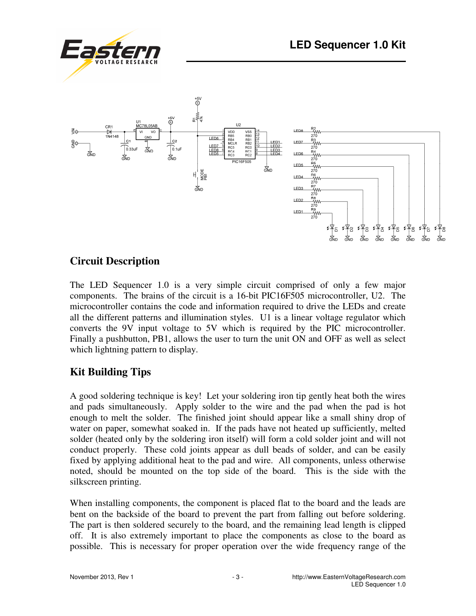



#### **Circuit Description**

The LED Sequencer 1.0 is a very simple circuit comprised of only a few major components. The brains of the circuit is a 16-bit PIC16F505 microcontroller, U2. The microcontroller contains the code and information required to drive the LEDs and create all the different patterns and illumination styles. U1 is a linear voltage regulator which converts the 9V input voltage to 5V which is required by the PIC microcontroller. Finally a pushbutton, PB1, allows the user to turn the unit ON and OFF as well as select which lightning pattern to display.

#### **Kit Building Tips**

A good soldering technique is key! Let your soldering iron tip gently heat both the wires and pads simultaneously. Apply solder to the wire and the pad when the pad is hot enough to melt the solder. The finished joint should appear like a small shiny drop of water on paper, somewhat soaked in. If the pads have not heated up sufficiently, melted solder (heated only by the soldering iron itself) will form a cold solder joint and will not conduct properly. These cold joints appear as dull beads of solder, and can be easily fixed by applying additional heat to the pad and wire. All components, unless otherwise noted, should be mounted on the top side of the board. This is the side with the silkscreen printing.

When installing components, the component is placed flat to the board and the leads are bent on the backside of the board to prevent the part from falling out before soldering. The part is then soldered securely to the board, and the remaining lead length is clipped off. It is also extremely important to place the components as close to the board as possible. This is necessary for proper operation over the wide frequency range of the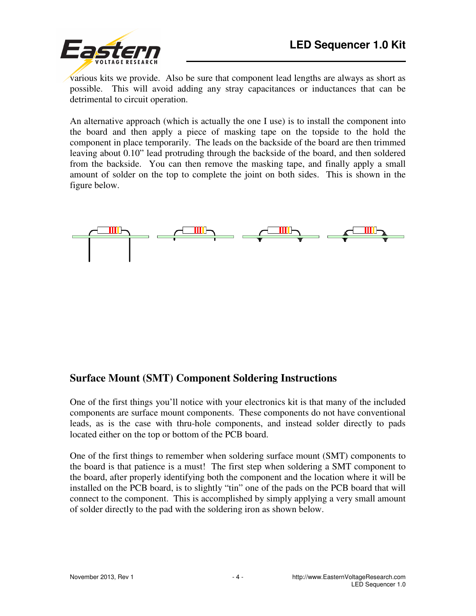

various kits we provide. Also be sure that component lead lengths are always as short as possible. This will avoid adding any stray capacitances or inductances that can be detrimental to circuit operation.

An alternative approach (which is actually the one I use) is to install the component into the board and then apply a piece of masking tape on the topside to the hold the component in place temporarily. The leads on the backside of the board are then trimmed leaving about 0.10" lead protruding through the backside of the board, and then soldered from the backside. You can then remove the masking tape, and finally apply a small amount of solder on the top to complete the joint on both sides. This is shown in the figure below.



#### **Surface Mount (SMT) Component Soldering Instructions**

One of the first things you'll notice with your electronics kit is that many of the included components are surface mount components. These components do not have conventional leads, as is the case with thru-hole components, and instead solder directly to pads located either on the top or bottom of the PCB board.

One of the first things to remember when soldering surface mount (SMT) components to the board is that patience is a must! The first step when soldering a SMT component to the board, after properly identifying both the component and the location where it will be installed on the PCB board, is to slightly "tin" one of the pads on the PCB board that will connect to the component. This is accomplished by simply applying a very small amount of solder directly to the pad with the soldering iron as shown below.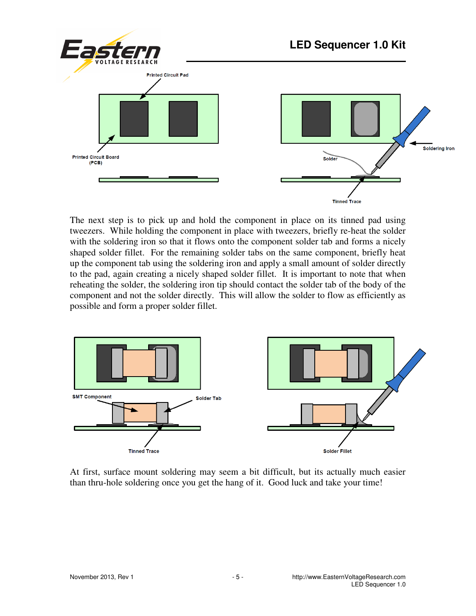

The next step is to pick up and hold the component in place on its tinned pad using tweezers. While holding the component in place with tweezers, briefly re-heat the solder with the soldering iron so that it flows onto the component solder tab and forms a nicely shaped solder fillet. For the remaining solder tabs on the same component, briefly heat up the component tab using the soldering iron and apply a small amount of solder directly to the pad, again creating a nicely shaped solder fillet. It is important to note that when reheating the solder, the soldering iron tip should contact the solder tab of the body of the component and not the solder directly. This will allow the solder to flow as efficiently as possible and form a proper solder fillet.



At first, surface mount soldering may seem a bit difficult, but its actually much easier than thru-hole soldering once you get the hang of it. Good luck and take your time!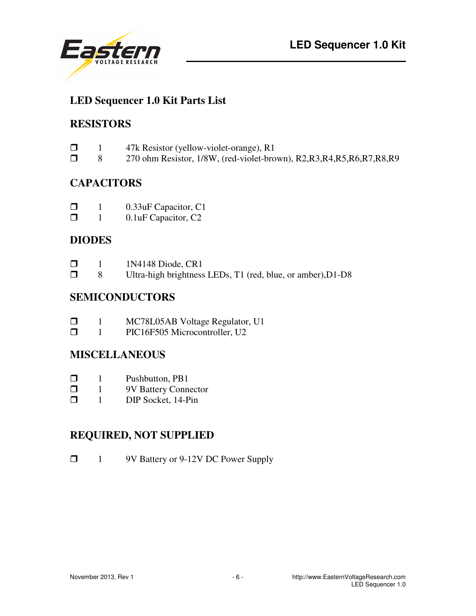

#### **LED Sequencer 1.0 Kit Parts List**

#### **RESISTORS**

| $\Box$ | 47k Resistor (yellow-violet-orange), R1 |  |
|--------|-----------------------------------------|--|
|        |                                         |  |

**8** 270 ohm Resistor, 1/8W, (red-violet-brown), R2,R3,R4,R5,R6,R7,R8,R9

#### **CAPACITORS**

| $\Box$ | 0.33 uF Capacitor, C1 |
|--------|-----------------------|
|--------|-----------------------|

**1** 0.1uF Capacitor, C2

#### **DIODES**

| $\Box$ | 1N4148 Diode, CR1                                           |
|--------|-------------------------------------------------------------|
| $\Box$ | Ultra-high brightness LEDs, T1 (red, blue, or amber), D1-D8 |

#### **SEMICONDUCTORS**

| $\Box$ | MC78L05AB Voltage Regulator, U1 |
|--------|---------------------------------|
|        |                                 |

**1** PIC16F505 Microcontroller, U2

#### **MISCELLANEOUS**

- $\Box$  1 Pushbutton, PB1
- $\Box$  1 9V Battery Connector<br> $\Box$  1 DIP Socket, 14-Pin
- 1 DIP Socket, 14-Pin

#### **REQUIRED, NOT SUPPLIED**

1 9V Battery or 9-12V DC Power Supply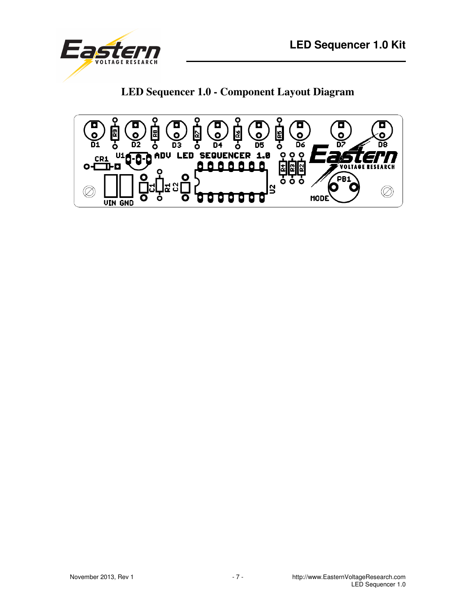

**LED Sequencer 1.0 - Component Layout Diagram** 

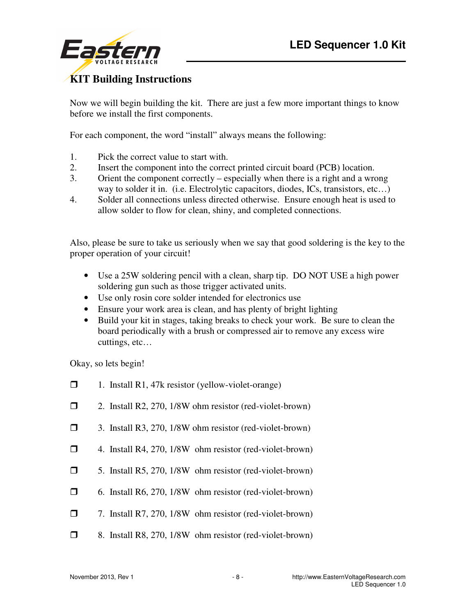

#### **KIT Building Instructions**

Now we will begin building the kit. There are just a few more important things to know before we install the first components.

For each component, the word "install" always means the following:

- 1. Pick the correct value to start with.
- 2. Insert the component into the correct printed circuit board (PCB) location.
- 3. Orient the component correctly especially when there is a right and a wrong way to solder it in. (i.e. Electrolytic capacitors, diodes, ICs, transistors, etc...)
- 4. Solder all connections unless directed otherwise. Ensure enough heat is used to allow solder to flow for clean, shiny, and completed connections.

Also, please be sure to take us seriously when we say that good soldering is the key to the proper operation of your circuit!

- Use a 25W soldering pencil with a clean, sharp tip. DO NOT USE a high power soldering gun such as those trigger activated units.
- Use only rosin core solder intended for electronics use
- Ensure your work area is clean, and has plenty of bright lighting
- Build your kit in stages, taking breaks to check your work. Be sure to clean the board periodically with a brush or compressed air to remove any excess wire cuttings, etc…

Okay, so lets begin!

- $\Box$  1. Install R1, 47k resistor (yellow-violet-orange)
- 2. Install R2, 270, 1/8W ohm resistor (red-violet-brown)
- 3. Install R3, 270, 1/8W ohm resistor (red-violet-brown)
- $\Box$  4. Install R4, 270, 1/8W ohm resistor (red-violet-brown)
- 5. Install R5, 270, 1/8W ohm resistor (red-violet-brown)
- $\Box$  6. Install R6, 270, 1/8W ohm resistor (red-violet-brown)
- $\Box$  7. Install R7, 270, 1/8W ohm resistor (red-violet-brown)
- **8.** Install R8, 270, 1/8W ohm resistor (red-violet-brown)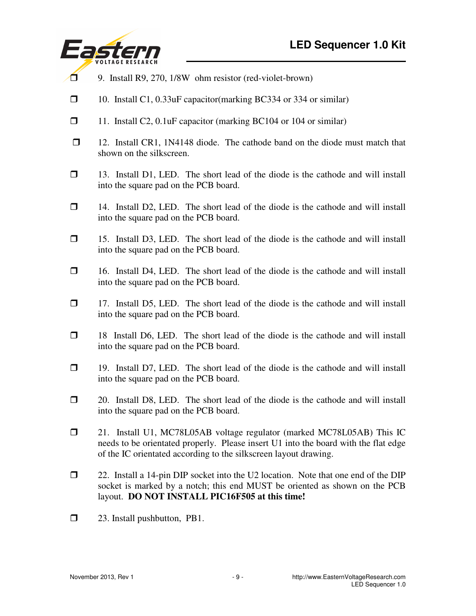

- 9. Install R9, 270, 1/8W ohm resistor (red-violet-brown)
- 10. Install C1, 0.33uF capacitor(marking BC334 or 334 or similar)
- 11. Install C2, 0.1uF capacitor (marking BC104 or 104 or similar)
- $\Box$  12. Install CR1, 1N4148 diode. The cathode band on the diode must match that shown on the silkscreen.
- 13. Install D1, LED. The short lead of the diode is the cathode and will install into the square pad on the PCB board.
- $\Box$  14. Install D2, LED. The short lead of the diode is the cathode and will install into the square pad on the PCB board.
- 15. Install D3, LED. The short lead of the diode is the cathode and will install into the square pad on the PCB board.
- $\Box$  16. Install D4, LED. The short lead of the diode is the cathode and will install into the square pad on the PCB board.
- $\Box$  17. Install D5, LED. The short lead of the diode is the cathode and will install into the square pad on the PCB board.
- $\Box$  18 Install D6, LED. The short lead of the diode is the cathode and will install into the square pad on the PCB board.
- $\Box$  19. Install D7, LED. The short lead of the diode is the cathode and will install into the square pad on the PCB board.
- $\Box$  20. Install D8, LED. The short lead of the diode is the cathode and will install into the square pad on the PCB board.
- 21. Install U1, MC78L05AB voltage regulator (marked MC78L05AB) This IC needs to be orientated properly. Please insert U1 into the board with the flat edge of the IC orientated according to the silkscreen layout drawing.
- $\Box$  22. Install a 14-pin DIP socket into the U2 location. Note that one end of the DIP socket is marked by a notch; this end MUST be oriented as shown on the PCB layout. **DO NOT INSTALL PIC16F505 at this time!**
- □ 23. Install pushbutton, PB1.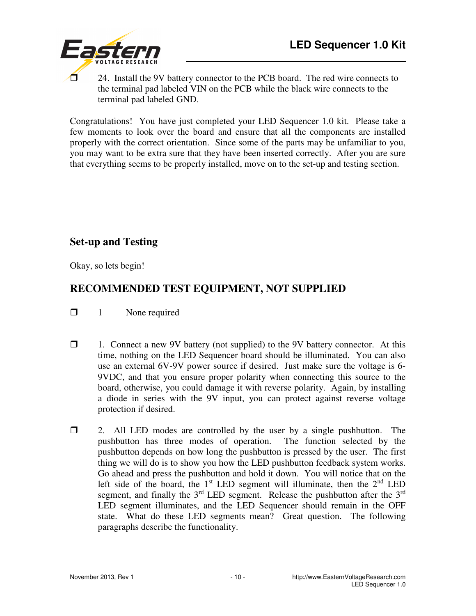

 $\Box$  24. Install the 9V battery connector to the PCB board. The red wire connects to the terminal pad labeled VIN on the PCB while the black wire connects to the terminal pad labeled GND.

Congratulations! You have just completed your LED Sequencer 1.0 kit. Please take a few moments to look over the board and ensure that all the components are installed properly with the correct orientation. Since some of the parts may be unfamiliar to you, you may want to be extra sure that they have been inserted correctly. After you are sure that everything seems to be properly installed, move on to the set-up and testing section.

#### **Set-up and Testing**

Okay, so lets begin!

### **RECOMMENDED TEST EQUIPMENT, NOT SUPPLIED**

 $\Box$  1 None required

- $\Box$  1. Connect a new 9V battery (not supplied) to the 9V battery connector. At this time, nothing on the LED Sequencer board should be illuminated. You can also use an external 6V-9V power source if desired. Just make sure the voltage is 6- 9VDC, and that you ensure proper polarity when connecting this source to the board, otherwise, you could damage it with reverse polarity. Again, by installing a diode in series with the 9V input, you can protect against reverse voltage protection if desired.
- 2. All LED modes are controlled by the user by a single pushbutton. The pushbutton has three modes of operation. The function selected by the pushbutton depends on how long the pushbutton is pressed by the user. The first thing we will do is to show you how the LED pushbutton feedback system works. Go ahead and press the pushbutton and hold it down. You will notice that on the left side of the board, the  $1<sup>st</sup>$  LED segment will illuminate, then the  $2<sup>nd</sup>$  LED segment, and finally the  $3<sup>rd</sup>$  LED segment. Release the pushbutton after the  $3<sup>rd</sup>$ LED segment illuminates, and the LED Sequencer should remain in the OFF state. What do these LED segments mean? Great question. The following paragraphs describe the functionality.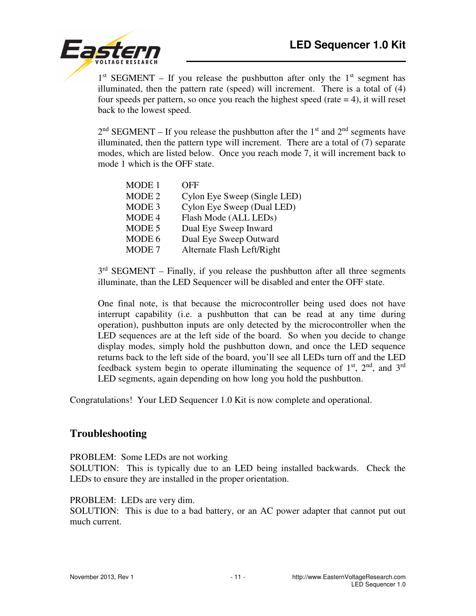

 $1<sup>st</sup> SEGMENT - If you release the push button after only the 1<sup>st</sup> segment has$ illuminated, then the pattern rate (speed) will increment. There is a total of (4) four speeds per pattern, so once you reach the highest speed (rate  $= 4$ ), it will reset back to the lowest speed.

 $2<sup>nd</sup> SEGMENT – If you release the push button after the 1<sup>st</sup> and 2<sup>nd</sup> segments have$ illuminated, then the pattern type will increment. There are a total of (7) separate modes, which are listed below. Once you reach mode 7, it will increment back to mode 1 which is the OFF state.

| MODE 1            | OFF                          |
|-------------------|------------------------------|
| MODE 2            | Cylon Eye Sweep (Single LED) |
| MODE <sub>3</sub> | Cylon Eye Sweep (Dual LED)   |
| MODE 4            | Flash Mode (ALL LEDs)        |
| MODE 5            | Dual Eye Sweep Inward        |
| MODE 6            | Dual Eye Sweep Outward       |
| MODE 7            | Alternate Flash Left/Right   |

 $3<sup>rd</sup>$  SEGMENT – Finally, if you release the pushbutton after all three segments illuminate, than the LED Sequencer will be disabled and enter the OFF state.

 One final note, is that because the microcontroller being used does not have interrupt capability (i.e. a pushbutton that can be read at any time during operation), pushbutton inputs are only detected by the microcontroller when the LED sequences are at the left side of the board. So when you decide to change display modes, simply hold the pushbutton down, and once the LED sequence returns back to the left side of the board, you'll see all LEDs turn off and the LED feedback system begin to operate illuminating the sequence of  $1<sup>st</sup>$ ,  $2<sup>nd</sup>$ , and  $3<sup>rd</sup>$ LED segments, again depending on how long you hold the pushbutton.

Congratulations! Your LED Sequencer 1.0 Kit is now complete and operational.

#### **Troubleshooting**

PROBLEM: Some LEDs are not working

SOLUTION: This is typically due to an LED being installed backwards. Check the LEDs to ensure they are installed in the proper orientation.

PROBLEM: LEDs are very dim.

SOLUTION: This is due to a bad battery, or an AC power adapter that cannot put out much current.